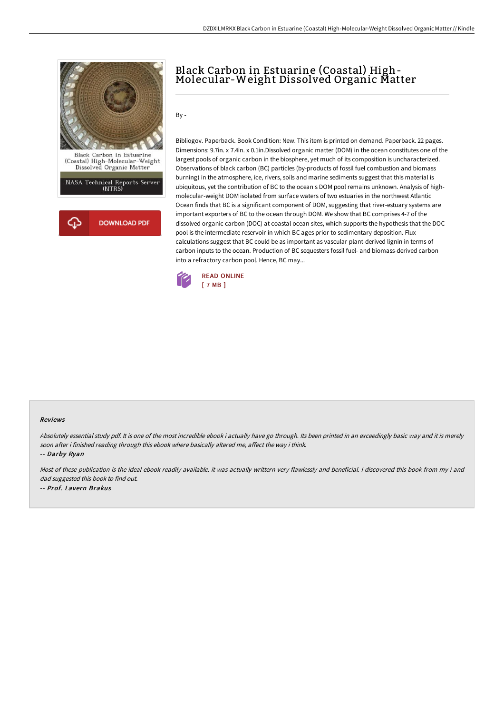

## Black Carbon in Estuarine (Coastal) High- Molecular-Weight Dissolved Organic Matter

By -

Bibliogov. Paperback. Book Condition: New. This item is printed on demand. Paperback. 22 pages. Dimensions: 9.7in. x 7.4in. x 0.1in.Dissolved organic matter (DOM) in the ocean constitutes one of the largest pools of organic carbon in the biosphere, yet much of its composition is uncharacterized. Observations of black carbon (BC) particles (by-products of fossil fuel combustion and biomass burning) in the atmosphere, ice, rivers, soils and marine sediments suggest that this material is ubiquitous, yet the contribution of BC to the ocean s DOM pool remains unknown. Analysis of highmolecular-weight DOM isolated from surface waters of two estuaries in the northwest Atlantic Ocean finds that BC is a significant component of DOM, suggesting that river-estuary systems are important exporters of BC to the ocean through DOM. We show that BC comprises 4-7 of the dissolved organic carbon (DOC) at coastal ocean sites, which supports the hypothesis that the DOC pool is the intermediate reservoir in which BC ages prior to sedimentary deposition. Flux calculations suggest that BC could be as important as vascular plant-derived lignin in terms of carbon inputs to the ocean. Production of BC sequesters fossil fuel- and biomass-derived carbon into a refractory carbon pool. Hence, BC may...



## Reviews

Absolutely essential study pdf. It is one of the most incredible ebook i actually have go through. Its been printed in an exceedingly basic way and it is merely soon after i finished reading through this ebook where basically altered me, affect the way i think.

-- Darby Ryan

Most of these publication is the ideal ebook readily available. it was actually writtern very flawlessly and beneficial. I discovered this book from my i and dad suggested this book to find out. -- Prof. Lavern Brakus